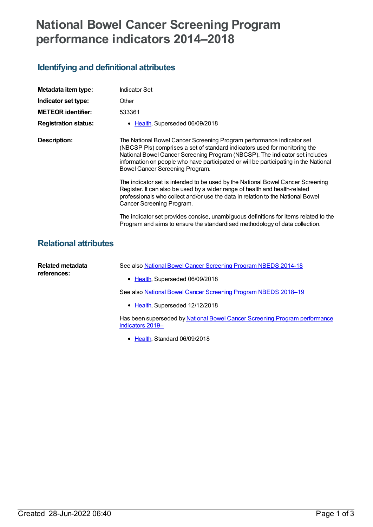# **National Bowel Cancer Screening Program performance indicators 2014–2018**

# **Identifying and definitional attributes**

| Metadata item type:         | <b>Indicator Set</b>                                                                                                                                                                                                                                                                                                                                          |
|-----------------------------|---------------------------------------------------------------------------------------------------------------------------------------------------------------------------------------------------------------------------------------------------------------------------------------------------------------------------------------------------------------|
| Indicator set type:         | Other                                                                                                                                                                                                                                                                                                                                                         |
| <b>METEOR identifier:</b>   | 533361                                                                                                                                                                                                                                                                                                                                                        |
| <b>Registration status:</b> | • Health, Superseded 06/09/2018                                                                                                                                                                                                                                                                                                                               |
| Description:                | The National Bowel Cancer Screening Program performance indicator set<br>(NBCSP Pls) comprises a set of standard indicators used for monitoring the<br>National Bowel Cancer Screening Program (NBCSP). The indicator set includes<br>information on people who have participated or will be participating in the National<br>Bowel Cancer Screening Program. |
|                             | The indicator set is intended to be used by the National Bowel Cancer Screening<br>Register. It can also be used by a wider range of health and health-related<br>professionals who collect and/or use the data in relation to the National Bowel<br>Cancer Screening Program.                                                                                |
|                             | The indicator set provides concise, unambiguous definitions for items related to the<br>Program and aims to ensure the standardised methodology of data collection.                                                                                                                                                                                           |

## **Relational attributes**

| Related metadata<br>references: | See also National Bowel Cancer Screening Program NBEDS 2014-18                                 |
|---------------------------------|------------------------------------------------------------------------------------------------|
|                                 | • Health, Superseded 06/09/2018                                                                |
|                                 | See also National Bowel Cancer Screening Program NBEDS 2018–19                                 |
|                                 | • Health, Superseded 12/12/2018                                                                |
|                                 | Has been superseded by National Bowel Cancer Screening Program performance<br>indicators 2019- |

• [Health](https://meteor.aihw.gov.au/RegistrationAuthority/12), Standard 06/09/2018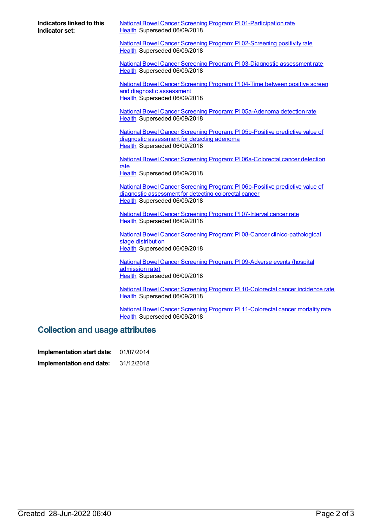**Indicators linked to this Indicator set:**

National Bowel Cancer Screening Program: PI [01-Participation](https://meteor.aihw.gov.au/content/533341) rate [Health](https://meteor.aihw.gov.au/RegistrationAuthority/12), Superseded 06/09/2018

National Bowel Cancer Screening Program: PI [02-Screening](https://meteor.aihw.gov.au/content/533358) positivity rate [Health](https://meteor.aihw.gov.au/RegistrationAuthority/12), Superseded 06/09/2018

National Bowel Cancer Screening Program: PI [03-Diagnostic](https://meteor.aihw.gov.au/content/533365) assessment rate [Health](https://meteor.aihw.gov.au/RegistrationAuthority/12), Superseded 06/09/2018

National Bowel Cancer Screening Program: PI 04-Time between positive screen and diagnostic [assessment](https://meteor.aihw.gov.au/content/533368) [Health](https://meteor.aihw.gov.au/RegistrationAuthority/12), Superseded 06/09/2018

National Bowel Cancer Screening Program: PI [05a-Adenoma](https://meteor.aihw.gov.au/content/533371) detection rate [Health](https://meteor.aihw.gov.au/RegistrationAuthority/12), Superseded 06/09/2018

National Bowel Cancer Screening Program: PI [05b-Positive](https://meteor.aihw.gov.au/content/533374) predictive value of diagnostic assessment for detecting adenoma [Health](https://meteor.aihw.gov.au/RegistrationAuthority/12), Superseded 06/09/2018

National Bowel Cancer Screening Program: PI [06a-Colorectal](https://meteor.aihw.gov.au/content/533393) cancer detection rate [Health](https://meteor.aihw.gov.au/RegistrationAuthority/12), Superseded 06/09/2018

National Bowel Cancer Screening Program: PI [06b-Positive](https://meteor.aihw.gov.au/content/533402) predictive value of diagnostic assessment for detecting colorectal cancer [Health](https://meteor.aihw.gov.au/RegistrationAuthority/12), Superseded 06/09/2018

National Bowel Cancer Screening Program: PI [07-Interval](https://meteor.aihw.gov.au/content/533404) cancer rate [Health](https://meteor.aihw.gov.au/RegistrationAuthority/12), Superseded 06/09/2018

National Bowel Cancer Screening Program: PI 08-Cancer [clinico-pathological](https://meteor.aihw.gov.au/content/533407) stage distribution [Health](https://meteor.aihw.gov.au/RegistrationAuthority/12), Superseded 06/09/2018

National Bowel Cancer Screening Program: PI [09-Adverse](https://meteor.aihw.gov.au/content/533409) events (hospital admission rate) [Health](https://meteor.aihw.gov.au/RegistrationAuthority/12), Superseded 06/09/2018

National Bowel Cancer Screening Program: PI [10-Colorectal](https://meteor.aihw.gov.au/content/533411) cancer incidence rate [Health](https://meteor.aihw.gov.au/RegistrationAuthority/12), Superseded 06/09/2018

National Bowel Cancer Screening Program: PI [11-Colorectal](https://meteor.aihw.gov.au/content/533413) cancer mortality rate [Health](https://meteor.aihw.gov.au/RegistrationAuthority/12), Superseded 06/09/2018

### **Collection and usage attributes**

**Implementation start date:** 01/07/2014 **Implementation end date:** 31/12/2018